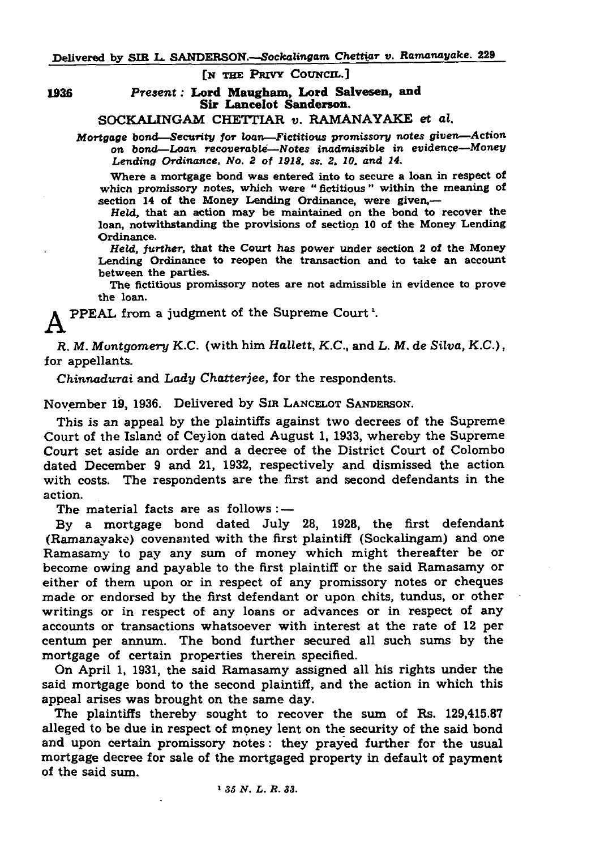[N THE PRIVY COUNCIL.]

1936 *Present:* Lord Maugham, Lord Salvesen, and Sir Lancelot Sanderson.

SOCKALINGAM CHETTIAR *v.* RAMANAYAKE et *al.*

*Mortgage* bond— Security *for* loan*—Fictitious promissory notes given*— Action on bond— *Loan recoverable—Notes inadmissible in* evidence—*Money Lending Ordinance, No. 2 of 1918, ss. 2, 10, and 14.*

Where a mortgage bond was entered into to secure a loan in respect of which promissory notes, which were "fictitious" within the meaning of section 14 of the Money Lending Ordinance, were given,—

Held, that an action may be maintained on the bond to recover the loan, notwithstanding the provisions of section 10 of the Money Lending Ordinance.

Held, *further,* that the Court has power under section 2 of the Money Lending Ordinance to reopen the transaction and to take an account between the parties.

The fictitious promissory notes are not admissible in evidence to prove the loan.

## PPEAL from a judgment of the Supreme Court'.

*R. M. Montgomery K.C.* (with him *HaXlett, K.C.,* and *L. M. de Silva, K.C*.), for appellants.

*Chinnadurai* and *Lady Chatterjee,* for the respondents.

November 19, 1936. Delivered by Sir L ancelot Sanderson.

This is an appeal by the plaintiffs against two decrees of the Supreme Court of the Island of Ceyion dated August 1, 1933, whereby the Supreme Court set aside an order and a decree of the District Court of Colombo dated December 9 and 21, 1932, respectively and dismissed the action with costs. The respondents are the first and second defendants in the action.

The material facts are as follows : —

By a mortgage bond dated July 28, 1928, the first defendant (Ramanayake) covenanted with the first plaintiff (Sockalingam) and one Ramasamy to pay any sum of money which might thereafter be or become owing and payable to the first plaintiff or the said Ramasamy or either of them upon or in respect of any promissory notes or cheques made or endorsed by the first defendant or upon chits, tundus, or other writings or in respect of any loans or advances or in respect of any accounts or transactions whatsoever with interest at the rate of 12 per centum per annum. The bond further secured all such sums by the mortgage of certain properties therein specified.

On April 1, 1931, the said Ramasamy assigned all his rights under the said mortgage bond to the second plaintiff, and the action in which this appeal arises was brought on the same day.

The plaintiffs thereby sought to recover the sum of Rs. 129,415.87 alleged to be due in respect of money lent on the security of the said bond and upon certain promissory notes: they prayed further for the usual mortgage decree for sale of the mortgaged property in default of payment of the said sum.

> *35 N. L. R. 33.*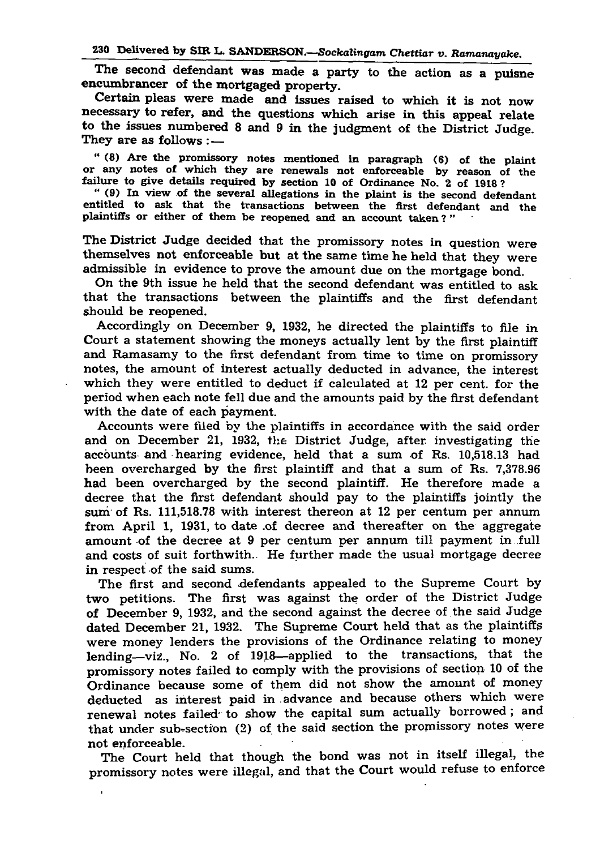The second defendant was made a party to the action as a puisne encumbrancer of the mortgaged property.

" (8) Are the promissory notes mentioned in paragraph (6) of the plaint or any notes of which they are renewals not enforceable by reason of the failure to give details required by section 10 of Ordinance No. 2 of 1918?

Certain pleas were made and issues raised to which it is not now necessary to refer, and the questions which arise in this appeal relate to the issues numbered 8 and 9 in the judgment of the District Judge. They are as follows :—

" (9) In view of the several allegations in the plaint is the second defendant entitled to ask that the transactions between the first defendant and the plaintiffs or either of them be reopened and an account taken ? "

The District Judge decided that the promissory notes in question were themselves not enforceable but at the same time he held that they were admissible in evidence to prove the amount due on the mortgage bond.

On the 9th issue he held that the second defendant was entitled to ask that the transactions between the plaintiffs and the first defendant should be reopened.

Accordingly on December 9, 1932, he directed the plaintiffs to file in Court a statement showing the moneys actually lent by the first plaintiff and Ramasamy to the first defendant from time to time on promissory notes, the amount of interest actually deducted in advance, the interest which they were entitled to deduct if calculated at 12 per cent, for the period when each note fell due and the amounts paid by the first defendant with the date of each payment.

Accounts were filed by the plaintiffs in accordance with the said order and on December 21, 1932, the District Judge, after investigating the accounts and hearing evidence, held that a sum of Rs. 10,518.13 had been overcharged by the first plaintiff and that a sum of Rs. 7,378.96 had been overcharged by the second plaintiff. He therefore made a decree that the first defendant should pay to the plaintiffs jointly the sum of Rs. 111,518.78 with interest thereon at 12 per centum per annum from April 1, 1931, to date .of decree and thereafter on the aggregate amount of the decree at 9 per centum per annum till payment in full and costs of suit forthwith.. He further made the usual mortgage decree in respect of the said sums. The first and second defendants appealed to the Supreme Court by two petitions. The first was against the order of the District Judge of December 9, 1932, and the second against the decree of the said Judge dated December 21, 1932. The Supreme Court held that as the plaintiffs were money lenders the provisions of the Ordinance relating to money lending—viz., No. 2 of 1918—applied to the transactions, that the promissory notes failed to comply with the provisions of section 10 of the Ordinance because some of them did not show the amount of money deducted as interest paid in .advance and because others which were renewal notes failed' to show the capital sum actually borrowed; and that under sub-section (2) of the said section the promissory notes were not enforceable. The Court held that though the bond was not in itself illegal, the promissory notes were illegal, and that the Court would refuse to enforce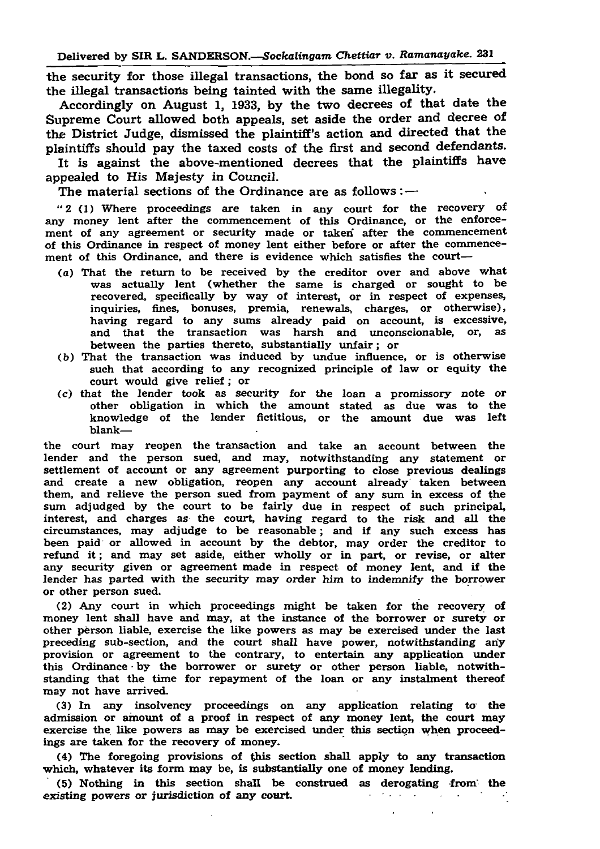the security for those illegal transactions, the bond so far as it secured the illegal transactions being tainted with the same illegality.

Accordingly on August 1, 1933, by the two decrees of that date the Supreme Court allowed both appeals, set aside the order and decree of the District Judge, dismissed the plaintiff's action and directed that the plaintiffs should pay the taxed costs of the first and second defendants. It is against the above-mentioned decrees that the plaintiffs have appealed to His Majesty in Council.

The material sections of the Ordinance are as follows  $:$   $-$ 

" 2 (1) Where proceedings are taken in any court for the recovery of any money lent after the commencement of this Ordinance, or the enforce-

ment of any agreement or security made or taken after the commencement of this Ordinance in respect of money lent either before or after the commencement of this Ordinance, and there is evidence which satisfies the court—

- (a) That the return to be received by the creditor over and above what was actually lent (whether the same is charged or sought to be recovered, specifically by way of interest, or in respect of expenses, inquiries, fines, bonuses, premia, renewals, charges, or otherwise), having regard to any sums already paid on account, is excessive, and that the transaction was harsh and unconscionable, or, as between the parties thereto, substantially unfair; or
- (b) That the transaction was induced by undue influence, or is otherwise such that according to any recognized principle of law or equity the court would give relief; or
- (c) that the lender took as security for the loan a promissory note or other obligation in which the amount stated as due was to the knowledge of the lender fictitious, or the amount due was left blank—

the court may reopen the transaction and take an account between the lender and the person sued, and may, notwithstanding any statement or settlement of account or any agreement purporting to close previous dealings and create a new obligation, reopen any account already' taken between them, and relieve the person sued from payment of any sum in excess of the sum adjudged by the court to be fairly due in respect of such principal, interest, and charges as the court, having regard to the risk and all the circumstances, may adjudge to be reasonable; and if any such excess has been paid or allowed in account by the debtor, may order the creditor to refund it; and may set aside, either wholly or in part, or revise, or alter any security given or agreement made in respect of money lent, and if the lender has parted with the security may order him to indemnify the borrower or other person sued.

(2) Any court in which proceedings might be taken for the recovery of money lent shall have and may, at the instance of the borrower or surety or other person liable, exercise the like powers as may be exercised under the last preceding sub-section, and the court shall have power, notwithstanding any provision or agreement to the contrary, to entertain any application under this Ordinance by the borrower or surety or other person liable, notwithstanding that the time for repayment of the loan or any instalment thereof may not have arrived.

(3) In any insolvency proceedings on any application relating to the admission or amount of a proof in respect of any money lent, the court may exercise the like powers as may be exercised under this section when proceedings are taken for the recovery of money.

(4) The foregoing provisions of this section shall apply to any transaction which, whatever its form may be, is substantially one of money lending. (5) Nothing in this section shall be construed as derogating from ' the existing powers or jurisdiction of any court.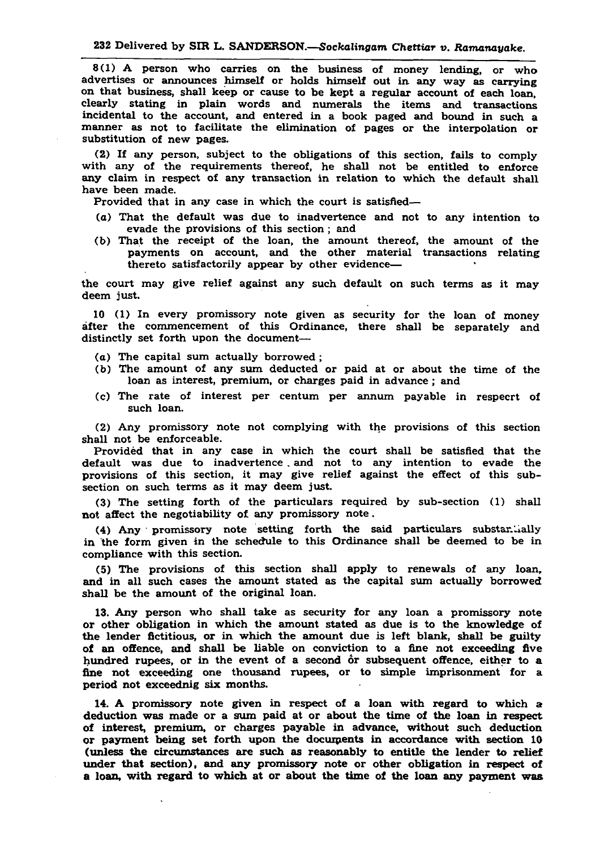8(1) A person who carries on the business of money lending, or who advertises or announces himself or holds himself out in any way as carrying on that business, shall keep or cause to be kept a regular account of each loan, clearly stating in plain words and numerals the items and transactions incidental to the account, and entered in a book paged and bound in such a manner as not to facilitate the elimination of pages or the interpolation or substitution of new pages.

(2) If any person, subject to the obligations of this section, fails to comply with any of the requirements thereof, he shall not be entitled to enforce any claim in respect of any transaction in relation to which the default shall have been made.

Provided that in any case in which the court is satisfied—

(a) That the default was due to inadvertence and not to any intention to

evade the provisions of this section ; and

(3) The setting forth of the particulars required by sub-section (1) shall not affect the negotiability of any promissory note.

(b) That the receipt of the loan, the amount thereof, the amount of the payments on account, and the other material transactions relating thereto satisfactorily appear by other evidence—

(4) Any promissory note setting forth the said particulars substantially in the form given in the schedule to this Ordinance shall be deemed to be in compliance with this section.

the court may give relief against any such default on such terms as it may deem just.

10 (1) In every promissory note given as security for the loan of money after the commencement of this Ordinance, there shall be separately and distinctly set forth upon the document—

- (a) The capital sum actually borrowed ;
- (b) The amount of any sum deducted or paid at or about the time of the loan as interest, premium, or charges paid in advance; and
- (c) The rate of interest per centum per annum payable in respecrt of such loan.

(2) Any promissory note not complying with the provisions of this section shall not be enforceable.

Provided that in any case in which the court shall be satisfied that the

default was due to inadvertence. and not to any intention to evade the provisions of this section, it may give relief against the effect of this subsection on such terms as it may deem just.

(5) The provisions of this section shall apply to renewals of any loan, and in all such cases the amount stated as the capital sum actually borrowed shall be the amount of the original loan.

13. Any person who shall take as security for any loan a promissory note or other obligation in which the amount stated as due is to the knowledge of the lender fictitious, or in which the amount due is left blank, shall be guilty of an offence, and shall be liable on conviction to a fine not exceeding five hundred rupees, or in the event of a second or subsequent offence, either to a fine not exceeding one thousand rupees, or to simple imprisonment for a

## period not exceednig six months.

14. A promissory note given in respect of a loan with regard to which a deduction was made or a sum paid at or about the time of the loan in respect of interest, premium, or charges payable in advance, without such deduction or payment being set forth upon the documents in accordance with section 10 (unless the circumstances are such as reasonably to entitle the lender to relief under that section), and any promissory note or other obligation in respect of a loan, with regard to which at or about the time of the loan any payment was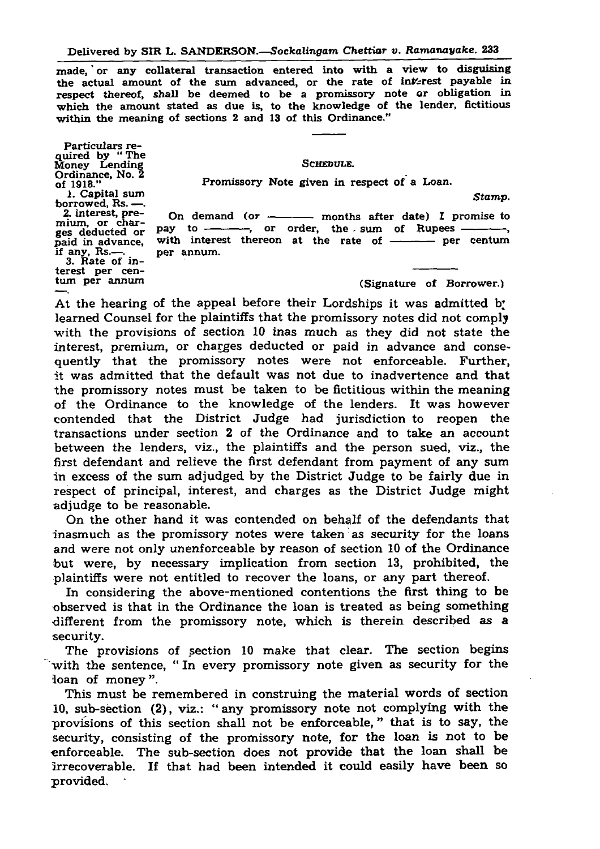made, or any collateral transaction entered into with a view to disguising the actual amount of the sum advanced, or the rate of interest payable in respect thereof, shall be deemed to be a promissory note or obligation in which the amount stated as due is, to the knowledge of the lender, fictitious within the meaning of sections 2 and 13 of this Ordinance."

At the hearing of the appeal before their Lordships it was admitted b. learned Counsel for the plaintiffs that the promissory notes did not comply with the provisions of section 10 inas much as they did not state the interest, premium, or charges deducted or paid in advance and consequently that the promissory notes were not enforceable. Further, it was admitted that the default was not due to inadvertence and that the promissory notes must be taken to be fictitious within the meaning of the Ordinance to the knowledge of the lenders. It was however contended that the District Judge had jurisdiction to reopen the transactions under section 2 of the Ordinance and to take an account between the lenders, viz., the plaintiffs and the person sued, viz., the

The provisions of section 10 make that clear. The section begins with the sentence, " In every promissory note given as security for the loan of money".

first defendant and relieve the first defendant from payment of any sum in excess of the sum adjudged by the District Judge to be fairly due in respect of principal, interest, and charges as the District Judge might adjudge to be reasonable.

Particulars required by " The Money Lending Ordinance, No. 2 of  $1918."$ 1. Capital sum borrowed, Rs. — . 2. interest, premium, or charges deducted or paid in advance, if any, Rs.— . 3. Rate of interest per centum per annum S chedule. Promissory Note given in respect of a Loan. *Stamp.* On demand (or  $\longrightarrow$  months after date) I promise to pay to -----------, or order, the sum of Rupees ------------, with interest thereon at the rate of  $\longrightarrow$  per centum per annum. (Signature of Borrower.)

On the other hand it was contended on behalf of the defendants that inasmuch as the promissory notes were taken as security for the loans and were not only unenforceable by reason of section 10 of the Ordinance but were, by necessary implication from section 13, prohibited, the plaintiffs were not entitled to recover the loans, or any part thereof.

In considering the above-mentioned contentions the first thing to be observed is that in the Ordinance the loan is treated as being something different from the promissory note, which is therein described as a security.

This must be remembered in construing the material words of section 10, sub-section (2), viz.: " any promissory note not complying with the provisions of this section shall not be enforceable, " that is to say, the security, consisting of the promissory note, for the loan is not to be enforceable. The sub-section does not provide that the loan shall be irrecoverable. If that had been intended it could easily have been so provided.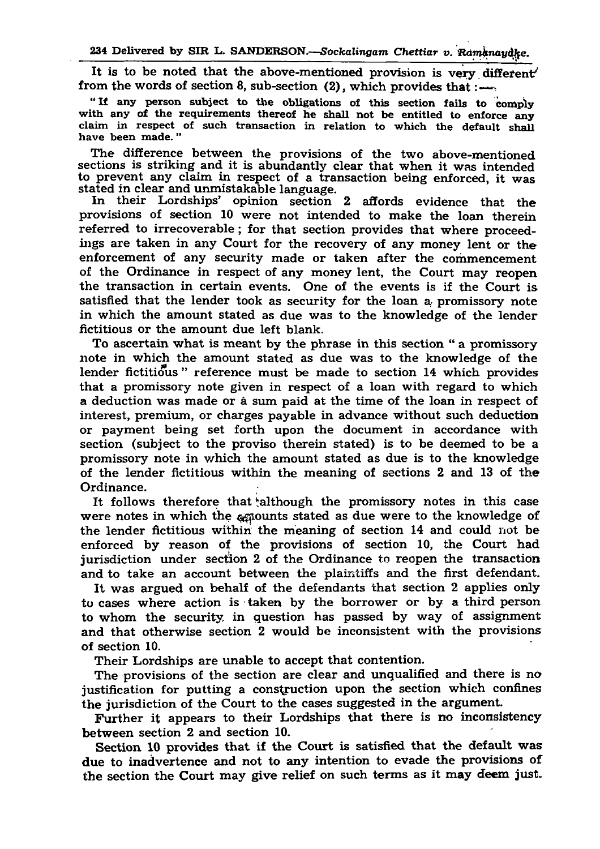It is to be noted that the above-mentioned provision is very different from the words of section 8, sub-section  $(2)$ , which provides that  $:=$ 

"If any person subject to the obligations of this section fails to comply with any of the requirements thereof he shall not be entitled to enforce any claim in respect of such transaction in relation to which the default shall have been made. "

The difference between the provisions of the two above-mentioned sections is striking and it is abundantly clear that when it was intended to prevent any claim in respect of a transaction being enforced, it was stated in clear and unmistakable language.

In their Lordships' opinion section 2 affords evidence that the provisions of section 10 were not intended to make the loan therein referred to irrecoverable; for that section provides that where proceedings are taken in any Court for the recovery of any money lent or the enforcement of any security made or taken after the commencement of the Ordinance in respect of any money lent, the Court may reopen the transaction in certain events. One of the events is if the Court is satisfied that the lender took as security for the loan a promissory note in which the amount stated as due was to the knowledge of the lender fictitious or the amount due left blank. To ascertain what is meant by the phrase in this section " a promissory note in which the amount stated as due was to the knowledge of the lender fictitious" reference must be made to section 14 which provides that a promissory note given in respect of a loan with regard to which a deduction was made or a sum paid at the time of the loan in respect of interest, premium, or charges payable in advance without such deduction or payment being set forth upon the document in accordance with section (subject to the proviso therein stated) is to be deemed to be a promissory note in which the amount stated as due is to the knowledge of the lender fictitious within the meaning of sections 2 and 13 of the Ordinance. It follows therefore that although the promissory notes in this case were notes in which the agrounts stated as due were to the knowledge of the lender fictitious within the meaning of section 14 and could not be enforced by reason of the provisions of section 10, the Court had jurisdiction under section 2 of the Ordinance to reopen the transaction and to take an account between the plaintiffs and the first defendant. It was argued on behalf of the defendants that section 2 applies only to cases where action is taken by the borrower or by a third person to whom the security in question has passed by way of assignment and that otherwise section 2 would be inconsistent with the provisions of section 10.

Their Lordships are unable to accept that contention.

The provisions of the section are clear and unqualified and there is no

justification for putting a construction upon the section which confines the jurisdiction of the Court to the cases suggested in the argument. Further it appears to their Lordships that there is no inconsistency between section 2 and section 10.

Section 10 provides that if the Court is satisfied that the default was due to inadvertence and not to any intention to evade the provisions of the section the Court may give relief on such terms as it may deem just.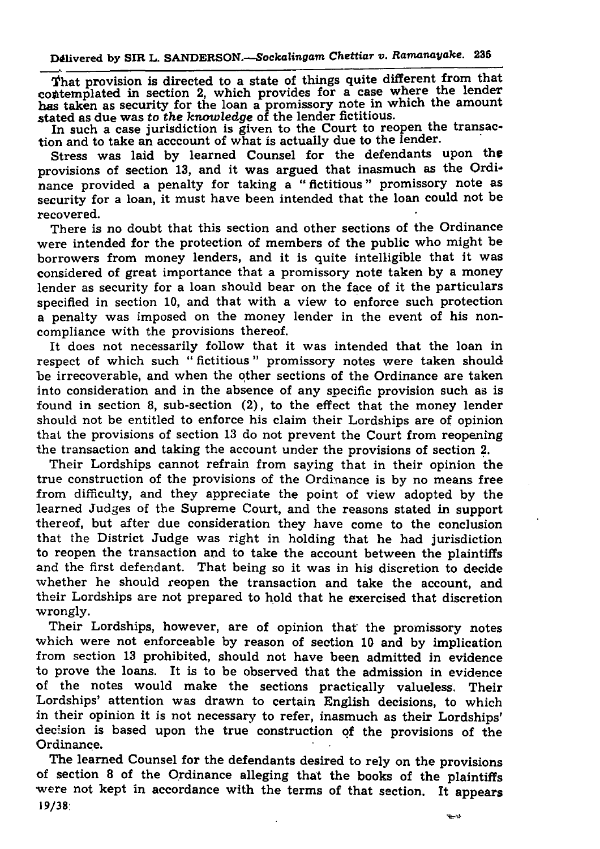That provision is directed to a state of things quite different from that contemplated in section 2, which provides for a case where the lender has taken as security for the loan a promissory note in which the amount stated as due was to *the knowledge* of the lender fictitious. In such a case jurisdiction is given to the Court to reopen the transaction and to take an acccount of what is actually due to the lender.

Stress was laid by learned Counsel for the defendants upon the provisions of section 13, and it was argued that inasmuch as the Ordinance provided a penalty for taking a " fictitious " promissory note as security for a loan, it must have been intended that the loan could not be recovered.

There is no doubt that this section and other sections of the Ordinance were intended for the protection of members of the public who might be borrowers from money lenders, and it is quite intelligible that it was considered of great importance that a promissory note taken by a money lender as security for a loan should bear on the face of it the particulars specified in section 10, and that with a view to enforce such protection a penalty was imposed on the money lender in the event of his noncompliance with the provisions thereof. It does not necessarily follow that it was intended that the loan in respect of which such "fictitious" promissory notes were taken should be irrecoverable, and when the other sections of the Ordinance are taken into consideration and in the absence of any specific provision such as is found in section 8, sub-section (2), to the effect that the money lender should not be entitled to enforce his claim their Lordships are of opinion that the provisions of section 13 do not prevent the Court from reopening the transaction and taking the account under the provisions of section 2. Their Lordships cannot refrain from saying that in their opinion the true construction of the provisions of the Ordinance is by no means free from difficulty, and they appreciate the point of view adopted by the learned Judges of the Supreme Court, and the reasons stated in support thereof, but after due consideration they have come to the conclusion that the District Judge was right in holding that he had jurisdiction to reopen the transaction and to take the account between the plaintiffs and the first defendant. That being so it was in his discretion to decide whether he should reopen the transaction and take the account, and their Lordships are not prepared to hold that he exercised that discretion wrongly.

Their Lordships, however, are of opinion that the promissory notes which were not enforceable by reason of section 10 and by implication from section 13 prohibited, should not have been admitted in evidence to prove the loans. It is to be observed that the admission in evidence of the notes would make the sections practically valueless. Their Lordships' attention was drawn to certain English decisions, to which in their opinion it is not necessary to refer, inasmuch as their Lordships' decision is based upon the true construction of the provisions of the Ordinance.

The learned Counsel for the defendants desired to rely on the provisions of section 8 of the Ordinance alleging that the books of the plaintiffs were not kept in accordance with the terms of that section. It appears 19/38:

국 석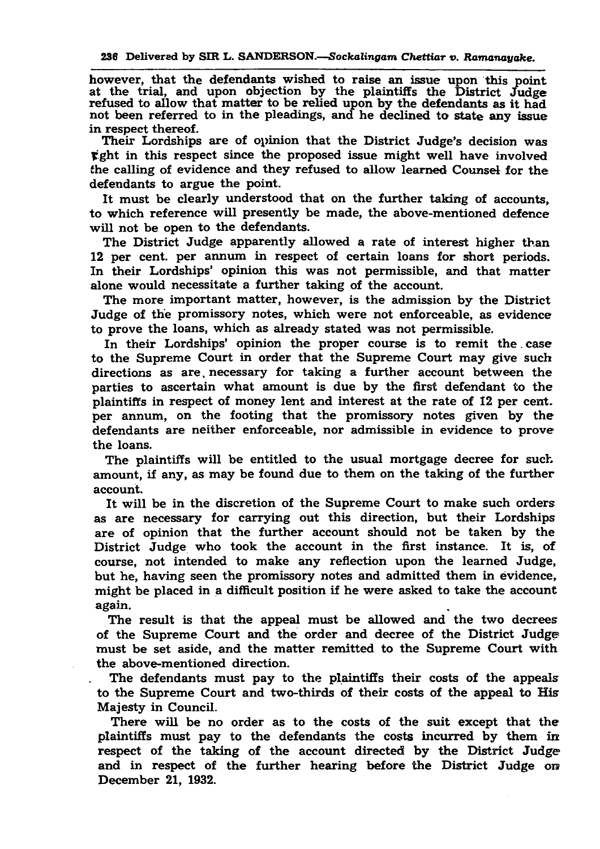however, that the defendants wished to raise an issue upon this point at the trial, and upon objection by the plaintiffs the District Judge refused to allow that matter to be relied upon by the defendants as it had not been referred to in the pleadings, and he declined to state any issue in respect thereof.

Their Lordships are of opinion that the District Judge's decision was  $\ddot{\mathbf{r}}$  ght in this respect since the proposed issue might well have involved the calling of evidence and they refused to allow learned Counsel for the defendants to argue the point.

It must be clearly understood that on the further taking of accounts, to which reference will presently be made, the above-mentioned defence will not be open to the defendants.

In their Lordships' opinion the proper course is to remit the case to the Supreme Court in order that the Supreme Court may give such directions as are. necessary for taking a further account between the parties to ascertain what amount is due by the first defendant to the plaintiffs in respect of money lent and interest at the rate of 12 per cent, per annum, on the footing that the promissory notes given by the defendants are neither enforceable, nor admissible in evidence to prove the loans.

The District Judge apparently allowed a rate of interest higher than 12 per cent, per annum in respect of certain loans for short periods. In their Lordships' opinion this was not permissible, and that matter alone would necessitate a further taking of the account.

The plaintiffs will be entitled to the usual mortgage decree for such amount, if any, as may be found due to them on the taking of the further account.

The more important matter, however, is the admission by the District Judge of the promissory notes, which were not enforceable, as evidence to prove the loans, which as already stated was not permissible.

It will be in the discretion of the Supreme Court to make such orders as are necessary for carrying out this direction, but their Lordships are of opinion that the further account should not be taken by the District Judge who took the account in the first instance. It is, of course, not intended to make any reflection upon the learned Judge, but he, having seen the promissory notes and admitted them in evidence, might be placed in a difficult position if he were asked to take the account again.

The result is that the appeal must be allowed and the two decrees of the Supreme Court and the order and decree of the District Judge must be set aside, and the matter remitted to the Supreme Court with the above-mentioned direction.

The defendants must pay to the plaintiffs their costs of the appeals to the Supreme Court and two-thirds of their costs of the appeal to His Majesty in Council.

There will be no order as to the costs of the suit except that the plaintiffs must pay to the defendants the costs incurred by them in respect of the taking of the account directed by the District Judge and in respect of the further hearing before the District Judge on December 21, 1932.